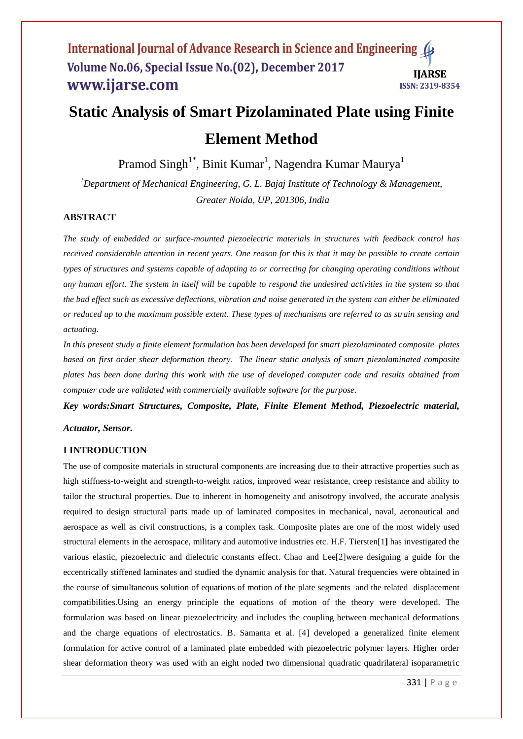# **Static Analysis of Smart Pizolaminated Plate using Finite Element Method**

Pramod Singh $^{1*}$ , Binit Kumar $^{1}$ , Nagendra Kumar Maurya $^{1}$ 

*<sup>1</sup>Department of Mechanical Engineering, G. L. Bajaj Institute of Technology & Management, Greater Noida, UP, 201306, India*

# **ABSTRACT**

*The study of embedded or surface-mounted piezoelectric materials in structures with feedback control has received considerable attention in recent years. One reason for this is that it may be possible to create certain types of structures and systems capable of adapting to or correcting for changing operating conditions without any human effort. The system in itself will be capable to respond the undesired activities in the system so that the bad effect such as excessive deflections, vibration and noise generated in the system can either be eliminated or reduced up to the maximum possible extent. These types of mechanisms are referred to as strain sensing and actuating.* 

*In this present study a finite element formulation has been developed for smart piezolaminated composite plates based on first order shear deformation theory. The linear static analysis of smart piezolaminated composite plates has been done during this work with the use of developed computer code and results obtained from computer code are validated with commercially available software for the purpose.* 

*Key words:Smart Structures, Composite, Plate, Finite Element Method, Piezoelectric material, Actuator, Sensor.* 

#### **I INTRODUCTION**

The use of composite materials in structural components are increasing due to their attractive properties such as high stiffness-to-weight and strength-to-weight ratios, improved wear resistance, creep resistance and ability to tailor the structural properties. Due to inherent in homogeneity and anisotropy involved, the accurate analysis required to design structural parts made up of laminated composites in mechanical, naval, aeronautical and aerospace as well as civil constructions, is a complex task. Composite plates are one of the most widely used structural elements in the aerospace, military and automotive industries etc. H.F. Tiersten[1**]** has investigated the various elastic, piezoelectric and dielectric constants effect. Chao and Lee[2]were designing a guide for the eccentrically stiffened laminates and studied the dynamic analysis for that. Natural frequencies were obtained in the course of simultaneous solution of equations of motion of the plate segments and the related displacement compatibilities.Using an energy principle the equations of motion of the theory were developed. The formulation was based on linear piezoelectricity and includes the coupling between mechanical deformations and the charge equations of electrostatics. B. Samanta et al. [4] developed a generalized finite element formulation for active control of a laminated plate embedded with piezoelectric polymer layers. Higher order shear deformation theory was used with an eight noded two dimensional quadratic quadrilateral isoparametric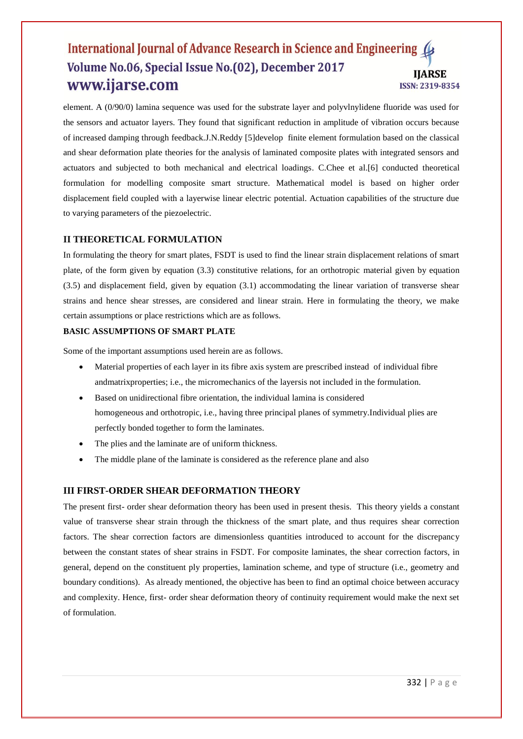element. A (0/90/0) lamina sequence was used for the substrate layer and polyvlnylidene fluoride was used for the sensors and actuator layers. They found that significant reduction in amplitude of vibration occurs because of increased damping through feedback.J.N.Reddy [5]develop finite element formulation based on the classical and shear deformation plate theories for the analysis of laminated composite plates with integrated sensors and actuators and subjected to both mechanical and electrical loadings. C.Chee et al.[6] conducted theoretical formulation for modelling composite smart structure. Mathematical model is based on higher order displacement field coupled with a layerwise linear electric potential. Actuation capabilities of the structure due to varying parameters of the piezoelectric.

# **II THEORETICAL FORMULATION**

In formulating the theory for smart plates, FSDT is used to find the linear strain displacement relations of smart plate, of the form given by equation (3.3) constitutive relations, for an orthotropic material given by equation (3.5) and displacement field, given by equation (3.1) accommodating the linear variation of transverse shear strains and hence shear stresses, are considered and linear strain. Here in formulating the theory, we make certain assumptions or place restrictions which are as follows.

#### **BASIC ASSUMPTIONS OF SMART PLATE**

Some of the important assumptions used herein are as follows.

- Material properties of each layer in its fibre axis system are prescribed instead of individual fibre andmatrixproperties; i.e., the micromechanics of the layersis not included in the formulation.
- Based on unidirectional fibre orientation, the individual lamina is considered homogeneous and orthotropic, i.e., having three principal planes of symmetry.Individual plies are perfectly bonded together to form the laminates.
- The plies and the laminate are of uniform thickness.
- The middle plane of the laminate is considered as the reference plane and also

#### **III FIRST-ORDER SHEAR DEFORMATION THEORY**

The present first- order shear deformation theory has been used in present thesis. This theory yields a constant value of transverse shear strain through the thickness of the smart plate, and thus requires shear correction factors. The shear correction factors are dimensionless quantities introduced to account for the discrepancy between the constant states of shear strains in FSDT. For composite laminates, the shear correction factors, in general, depend on the constituent ply properties, lamination scheme, and type of structure (i.e., geometry and boundary conditions). As already mentioned, the objective has been to find an optimal choice between accuracy and complexity. Hence, first- order shear deformation theory of continuity requirement would make the next set of formulation.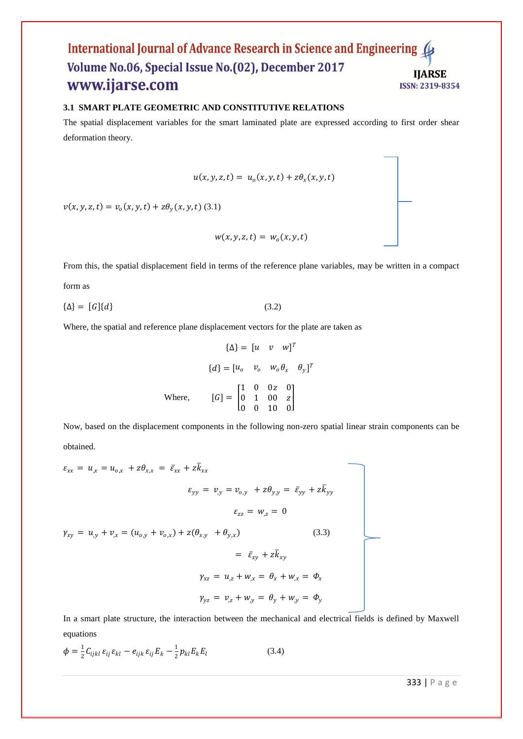#### **3.1 SMART PLATE GEOMETRIC AND CONSTITUTIVE RELATIONS**

The spatial displacement variables for the smart laminated plate are expressed according to first order shear deformation theory.

$$
u(x, y, z, t) = uo(x, y, t) + z\theta_x(x, y, t)
$$

 $v(x, y, z, t) = v_o(x, y, t) + z\theta_y(x, y, t)$  (3.1)

$$
w(x, y, z, t) = w_o(x, y, t)
$$

From this, the spatial displacement field in terms of the reference plane variables, may be written in a compact form as

 $\{\Delta\} = [G]\{d\}$  (3.2)

Where, the spatial and reference plane displacement vectors for the plate are taken as

$$
\{\Delta\} = [u \quad v \quad w]^T
$$

$$
\{d\} = [u_0 \quad v_0 \quad w_0 \theta_x \quad \theta_y]^T
$$
Where, 
$$
[G] = \begin{bmatrix} 1 & 0 & 0z & 0 \\ 0 & 1 & 00 & z \\ 0 & 0 & 10 & 0 \end{bmatrix}
$$

Now, based on the displacement components in the following non-zero spatial linear strain components can be obtained.

$$
\varepsilon_{xx} = u_{,x} = u_{o,x} + z\theta_{x,x} = \bar{\varepsilon}_{xx} + z\bar{k}_{xx}
$$
\n
$$
\varepsilon_{yy} = v_{,y} = v_{o,y} + z\theta_{y,y} = \bar{\varepsilon}_{yy} + z\bar{k}_{yy}
$$
\n
$$
\varepsilon_{zz} = w_{,z} = 0
$$
\n
$$
\gamma_{xy} = u_{,y} + v_{,x} = (u_{o,y} + v_{o,x}) + z(\theta_{x,y} + \theta_{y,x})
$$
\n
$$
= \bar{\varepsilon}_{xy} + z\bar{k}_{xy}
$$
\n
$$
\gamma_{xz} = u_{,z} + w_{,x} = \theta_x + w_{,x} = \phi_x
$$
\n
$$
\gamma_{yz} = v_{,z} + w_{,y} = \theta_y + w_{,y} = \phi_y
$$
\n(3.3)

In a smart plate structure, the interaction between the mechanical and electrical fields is defined by Maxwell equations

$$
\phi = \frac{1}{2} C_{ijkl} \varepsilon_{ij} \varepsilon_{kl} - e_{ijk} \varepsilon_{ij} E_k - \frac{1}{2} p_{kl} E_k E_l
$$
\n(3.4)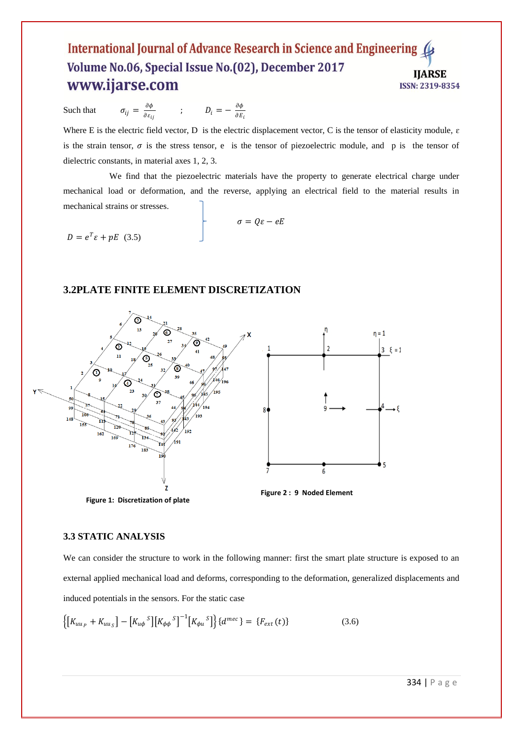Such that  $\partial \phi$  $\frac{\partial \phi}{\partial \varepsilon_{ij}}$  ;  $D_i = -\frac{\partial \phi}{\partial E}$  $\partial E_i$ 

Where E is the electric field vector, D is the electric displacement vector, C is the tensor of elasticity module,  $\varepsilon$ is the strain tensor,  $\sigma$  is the stress tensor, e is the tensor of piezoelectric module, and p is the tensor of dielectric constants, in material axes 1, 2, 3.

 We find that the piezoelectric materials have the property to generate electrical charge under mechanical load or deformation, and the reverse, applying an electrical field to the material results in mechanical strains or stresses.

 $\sigma = Q\varepsilon - eE$  $D = e^T \varepsilon + pE$  (3.5)

# **3.2PLATE FINITE ELEMENT DISCRETIZATION**



# **3.3 STATIC ANALYSIS**

We can consider the structure to work in the following manner: first the smart plate structure is exposed to an external applied mechanical load and deforms, corresponding to the deformation, generalized displacements and induced potentials in the sensors. For the static case

$$
\left\{ \left[K_{uu_P} + K_{uu_S}\right] - \left[K_{u\phi}^S\right] \left[K_{\phi\phi}^S\right]^{-1} \left[K_{\phi u}^S\right] \right\} \left\{ d^{mec} \right\} = \left\{ F_{ext}(t) \right\} \tag{3.6}
$$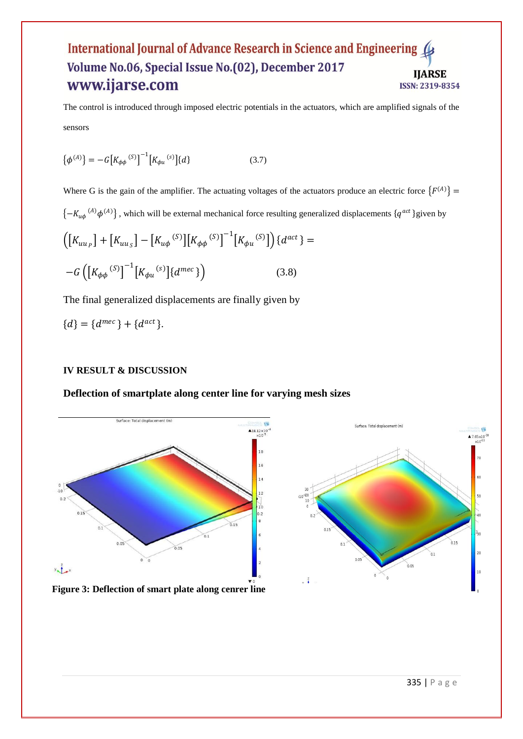The control is introduced through imposed electric potentials in the actuators, which are amplified signals of the sensors

$$
\{\phi^{(A)}\} = -G\left[K_{\phi\phi}^{(S)}\right]^{-1}\left[K_{\phi u}^{(S)}\right]\{d\} \tag{3.7}
$$

Where G is the gain of the amplifier. The actuating voltages of the actuators produce an electric force  ${F^{(A)}}$  =  $\{-K_{u\phi}^{(A)}\phi^{(A)}\}$ , which will be external mechanical force resulting generalized displacements  $\{q^{act}\}$ given by

=

$$
\left( \left[ K_{uu_P} \right] + \left[ K_{uu_S} \right] - \left[ K_{u\phi} \right]^{(S)} \right] \left[ K_{\phi\phi} \right]^{(S)} \right]^{-1} \left[ K_{\phi u} \right]^{(S)} \right) \{ d^{act} \}
$$

$$
-G \left( \left[ K_{\phi\phi} \right]^{(S)} \right]^{-1} \left[ K_{\phi u} \right]^{(S)} \left[ d^{mec} \right] \right) \tag{3.8}
$$

The final generalized displacements are finally given by

$$
\{d\} = \{d^{mec}\} + \{d^{act}\}.
$$

# **IV RESULT & DISCUSSION**

# **Deflection of smartplate along center line for varying mesh sizes**





**Figure 3: Deflection of smart plate along cenrer line**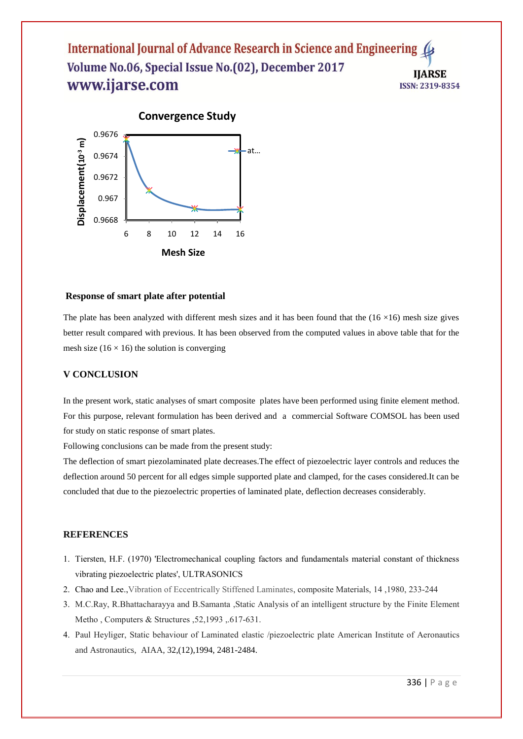

#### **Response of smart plate after potential**

The plate has been analyzed with different mesh sizes and it has been found that the  $(16 \times 16)$  mesh size gives better result compared with previous. It has been observed from the computed values in above table that for the mesh size ( $16 \times 16$ ) the solution is converging

#### **V CONCLUSION**

In the present work, static analyses of smart composite plates have been performed using finite element method. For this purpose, relevant formulation has been derived and a commercial Software COMSOL has been used for study on static response of smart plates.

Following conclusions can be made from the present study:

The deflection of smart piezolaminated plate decreases.The effect of piezoelectric layer controls and reduces the deflection around 50 percent for all edges simple supported plate and clamped, for the cases considered.It can be concluded that due to the piezoelectric properties of laminated plate, deflection decreases considerably.

#### **REFERENCES**

- 1. Tiersten, H.F. (1970) 'Electromechanical coupling factors and fundamentals material constant of thickness vibrating piezoelectric plates', ULTRASONICS
- 2. Chao and Lee.,Vibration of Eccentrically Stiffened Laminates, composite Materials, 14 ,1980, 233-244
- 3. M.C.Ray, R.Bhattacharayya and B.Samanta ,Static Analysis of an intelligent structure by the Finite Element Metho , Computers & Structures ,52,1993 ,.617-631.
- 4. Paul Heyliger, Static behaviour of Laminated elastic /piezoelectric plate American Institute of Aeronautics and Astronautics, AIAA, 32,(12),1994, 2481-2484.